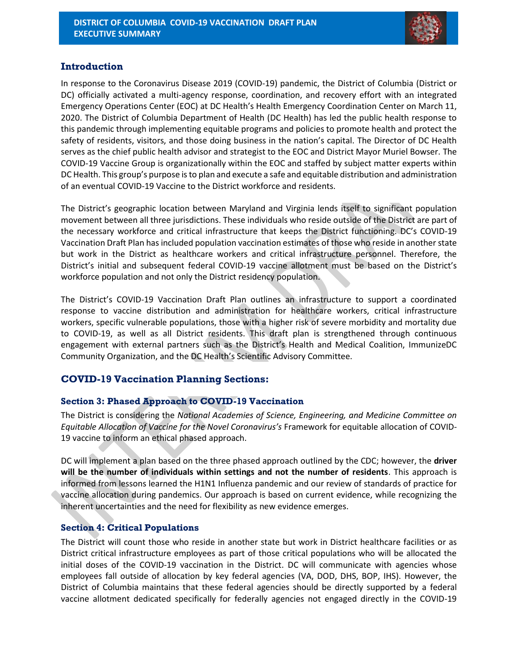

## **Introduction**

In response to the Coronavirus Disease 2019 (COVID-19) pandemic, the District of Columbia (District or DC) officially activated a multi-agency response, coordination, and recovery effort with an integrated Emergency Operations Center (EOC) at DC Health's Health Emergency Coordination Center on March 11, 2020. The District of Columbia Department of Health (DC Health) has led the public health response to this pandemic through implementing equitable programs and policies to promote health and protect the safety of residents, visitors, and those doing business in the nation's capital. The Director of DC Health serves as the chief public health advisor and strategist to the EOC and District Mayor Muriel Bowser. The COVID-19 Vaccine Group is organizationally within the EOC and staffed by subject matter experts within DC Health. This group's purpose is to plan and execute a safe and equitable distribution and administration of an eventual COVID-19 Vaccine to the District workforce and residents.

The District's geographic location between Maryland and Virginia lends itself to significant population movement between all three jurisdictions. These individuals who reside outside of the District are part of the necessary workforce and critical infrastructure that keeps the District functioning. DC's COVID-19 Vaccination Draft Plan has included population vaccination estimates of those who reside in another state but work in the District as healthcare workers and critical infrastructure personnel. Therefore, the District's initial and subsequent federal COVID-19 vaccine allotment must be based on the District's workforce population and not only the District residency population.

The District's COVID-19 Vaccination Draft Plan outlines an infrastructure to support a coordinated response to vaccine distribution and administration for healthcare workers, critical infrastructure workers, specific vulnerable populations, those with a higher risk of severe morbidity and mortality due to COVID-19, as well as all District residents. This draft plan is strengthened through continuous engagement with external partners such as the District's Health and Medical Coalition, ImmunizeDC Community Organization, and the DC Health's Scientific Advisory Committee.

# **COVID-19 Vaccination Planning Sections:**

## **Section 3: Phased Approach to COVID-19 Vaccination**

The District is considering the *National Academies of Science, Engineering, and Medicine Committee on Equitable Allocation of Vaccine for the Novel Coronavirus's* Framework for equitable allocation of COVID-19 vaccine to inform an ethical phased approach.

DC will implement a plan based on the three phased approach outlined by the CDC; however, the **driver will be the number of individuals within settings and not the number of residents**. This approach is informed from lessons learned the H1N1 Influenza pandemic and our review of standards of practice for vaccine allocation during pandemics. Our approach is based on current evidence, while recognizing the inherent uncertainties and the need for flexibility as new evidence emerges.

## **Section 4: Critical Populations**

The District will count those who reside in another state but work in District healthcare facilities or as District critical infrastructure employees as part of those critical populations who will be allocated the initial doses of the COVID-19 vaccination in the District. DC will communicate with agencies whose employees fall outside of allocation by key federal agencies (VA, DOD, DHS, BOP, IHS). However, the District of Columbia maintains that these federal agencies should be directly supported by a federal vaccine allotment dedicated specifically for federally agencies not engaged directly in the COVID-19